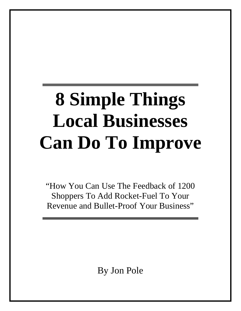# **8 Simple Things Local Businesses Can Do To Improve**

"How You Can Use The Feedback of 1200 Shoppers To Add Rocket-Fuel To Your Revenue and Bullet-Proof Your Business"

By Jon Pole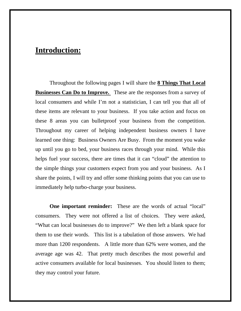### **Introduction:**

Throughout the following pages I will share the **8 Things That Local Businesses Can Do to Improve.** These are the responses from a survey of local consumers and while I'm not a statistician, I can tell you that all of these items are relevant to your business. If you take action and focus on these 8 areas you can bulletproof your business from the competition. Throughout my career of helping independent business owners I have learned one thing: Business Owners Are Busy. From the moment you wake up until you go to bed, your business races through your mind. While this helps fuel your success, there are times that it can "cloud" the attention to the simple things your customers expect from you and your business. As I share the points, I will try and offer some thinking points that you can use to immediately help turbo-charge your business.

**One important reminder:** These are the words of actual "local" consumers. They were not offered a list of choices. They were asked, "What can local businesses do to improve?" We then left a blank space for them to use their words. This list is a tabulation of those answers. We had more than 1200 respondents. A little more than 62% were women, and the average age was 42. That pretty much describes the most powerful and active consumers available for local businesses. You should listen to them; they may control your future.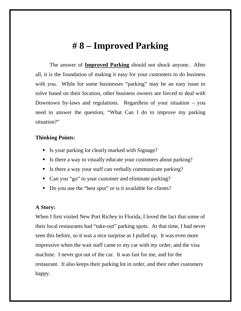# **# 8 – Improved Parking**

The answer of **Improved Parking** should not shock anyone. After all, it is the foundation of making it easy for your customers to do business with you. While for some businesses "parking" may be an easy issue to solve based on their location, other business owners are forced to deal with Downtown by-laws and regulations. Regardless of your situation – you need to answer the question, "What Can I do to improve my parking situation?"

### **Thinking Points:**

- Is your parking lot clearly marked with Signage?
- Is there a way to visually educate your customers about parking?
- Is there a way your staff can verbally communicate parking?
- Can you "go" to your customer and eliminate parking?
- Do you use the "best spot" or is it available for clients?

### **A Story:**

When I first visited New Port Richey in Florida, I loved the fact that some of their local restaurants had "take-out" parking spots. At that time, I had never seen this before, so it was a nice surprise as I pulled up. It was even more impressive when the wait staff came to my car with my order, and the visa machine. I never got out of the car. It was fast for me, and for the restaurant. It also keeps their parking lot in order, and their other customers happy.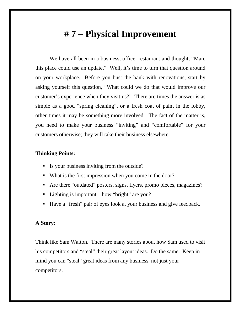# **# 7 – Physical Improvement**

We have all been in a business, office, restaurant and thought, "Man, this place could use an update." Well, it's time to turn that question around on your workplace. Before you bust the bank with renovations, start by asking yourself this question, "What could we do that would improve our customer's experience when they visit us?" There are times the answer is as simple as a good "spring cleaning", or a fresh coat of paint in the lobby, other times it may be something more involved. The fact of the matter is, you need to make your business "inviting" and "comfortable" for your customers otherwise; they will take their business elsewhere.

### **Thinking Points:**

- Is your business inviting from the outside?
- What is the first impression when you come in the door?
- Are there "outdated" posters, signs, flyers, promo pieces, magazines?
- Lighting is important how "bright" are you?
- Have a "fresh" pair of eyes look at your business and give feedback.

### **A Story:**

Think like Sam Walton. There are many stories about how Sam used to visit his competitors and "steal" their great layout ideas. Do the same. Keep in mind you can "steal" great ideas from any business, not just your competitors.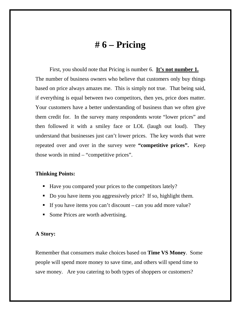## **# 6 – Pricing**

First, you should note that Pricing is number 6. **It's not number 1.** The number of business owners who believe that customers only buy things based on price always amazes me. This is simply not true. That being said, if everything is equal between two competitors, then yes, price does matter. Your customers have a better understanding of business than we often give them credit for. In the survey many respondents wrote "lower prices" and then followed it with a smiley face or LOL (laugh out loud). They understand that businesses just can't lower prices. The key words that were repeated over and over in the survey were **"competitive prices".** Keep those words in mind – "competitive prices".

### **Thinking Points:**

- Have you compared your prices to the competitors lately?
- Do you have items you aggressively price? If so, highlight them.
- If you have items you can't discount can you add more value?
- Some Prices are worth advertising.

### **A Story:**

Remember that consumers make choices based on **Time VS Money**. Some people will spend more money to save time, and others will spend time to save money. Are you catering to both types of shoppers or customers?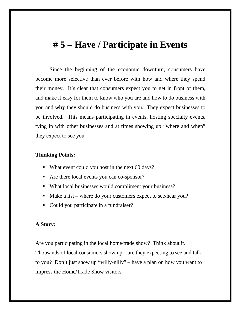### **# 5 – Have / Participate in Events**

Since the beginning of the economic downturn, consumers have become more selective than ever before with how and where they spend their money. It's clear that consumers expect you to get in front of them, and make it easy for them to know who you are and how to do business with you and **why** they should do business with you. They expect businesses to be involved. This means participating in events, hosting specialty events, tying in with other businesses and at times showing up "where and when" they expect to see you.

#### **Thinking Points:**

- What event could you host in the next 60 days?
- Are there local events you can co-sponsor?
- What local businesses would compliment your business?
- Make a list where do your customers expect to see/hear you?
- Could you participate in a fundraiser?

### **A Story:**

Are you participating in the local home/trade show? Think about it. Thousands of local consumers show  $up$  – are they expecting to see and talk to you? Don't just show up "willy-nilly" – have a plan on how you want to impress the Home/Trade Show visitors.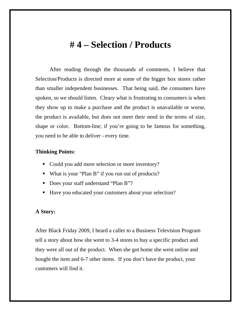### **# 4 – Selection / Products**

After reading through the thousands of comments, I believe that Selection/Products is directed more at some of the bigger box stores rather than smaller independent businesses. That being said, the consumers have spoken, so we should listen. Cleary what is frustrating to consumers is when they show up to make a purchase and the product is unavailable or worse, the product is available, but does not meet their need in the terms of size, shape or color. Bottom-line; if you're going to be famous for something, you need to be able to deliver - every time.

### **Thinking Points:**

- Could you add more selection or more inventory?
- What is your "Plan B" if you run out of products?
- Does your staff understand "Plan B"?
- Have you educated your customers about your selection?

#### **A Story:**

After Black Friday 2009, I heard a caller to a Business Television Program tell a story about how she went to 3-4 stores to buy a specific product and they were all out of the product. When she got home she went online and bought the item and 6-7 other items. If you don't have the product, your customers will find it.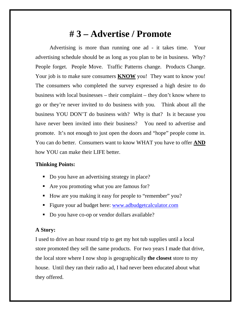# **# 3 – Advertise / Promote**

Advertising is more than running one ad - it takes time. Your advertising schedule should be as long as you plan to be in business. Why? People forget. People Move. Traffic Patterns change. Products Change. Your job is to make sure consumers **KNOW** you! They want to know you! The consumers who completed the survey expressed a high desire to do business with local businesses – their complaint – they don't know where to go or they're never invited to do business with you. Think about all the business YOU DON'T do business with? Why is that? Is it because you have never been invited into their business? You need to advertise and promote. It's not enough to just open the doors and "hope" people come in. You can do better. Consumers want to know WHAT you have to offer **AND** how YOU can make their LIFE better.

### **Thinking Points:**

- Do you have an advertising strategy in place?
- Are you promoting what you are famous for?
- How are you making it easy for people to "remember" you?
- Figure your ad budget here: www.adbudgetcalculator.com
- Do you have co-op or vendor dollars available?

### **A Story:**

I used to drive an hour round trip to get my hot tub supplies until a local store promoted they sell the same products. For two years I made that drive, the local store where I now shop is geographically **the closest** store to my house. Until they ran their radio ad, I had never been educated about what they offered.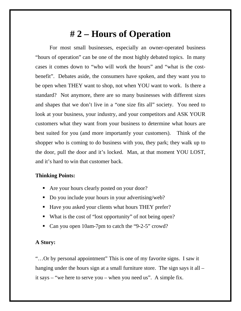# **# 2 – Hours of Operation**

For most small businesses, especially an owner-operated business "hours of operation" can be one of the most highly debated topics. In many cases it comes down to "who will work the hours" and "what is the costbenefit". Debates aside, the consumers have spoken, and they want you to be open when THEY want to shop, not when YOU want to work. Is there a standard? Not anymore, there are so many businesses with different sizes and shapes that we don't live in a "one size fits all" society. You need to look at your business, your industry, and your competitors and ASK YOUR customers what they want from your business to determine what hours are best suited for you (and more importantly your customers). Think of the shopper who is coming to do business with you, they park; they walk up to the door, pull the door and it's locked. Man, at that moment YOU LOST, and it's hard to win that customer back.

### **Thinking Points:**

- Are your hours clearly posted on your door?
- Do you include your hours in your advertising/web?
- Have you asked your clients what hours THEY prefer?
- What is the cost of "lost opportunity" of not being open?
- Can you open 10am-7pm to catch the "9-2-5" crowd?

### **A Story:**

"…Or by personal appointment" This is one of my favorite signs. I saw it hanging under the hours sign at a small furniture store. The sign says it all – it says – "we here to serve you – when you need us". A simple fix.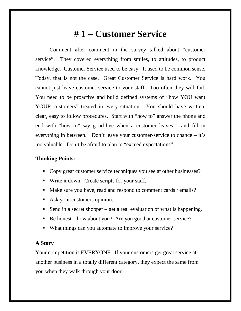# **# 1 – Customer Service**

Comment after comment in the survey talked about "customer service". They covered everything from smiles, to attitudes, to product knowledge. Customer Service used to be easy. It used to be common sense. Today, that is not the case. Great Customer Service is hard work. You cannot just leave customer service to your staff. Too often they will fail. You need to be proactive and build defined systems of "how YOU want YOUR customers" treated in every situation. You should have written, clear, easy to follow procedures. Start with "how to" answer the phone and end with "how to" say good-bye when a customer leaves – and fill in everything in between. Don't leave your customer-service to chance – it's too valuable. Don't be afraid to plan to "exceed expectations"

#### **Thinking Points:**

- Copy great customer service techniques you see at other businesses?
- Write it down. Create scripts for your staff.
- Make sure you have, read and respond to comment cards / emails?
- Ask your customers opinion.
- Send in a secret shopper get a real evaluation of what is happening.
- Be honest how about you? Are you good at customer service?
- What things can you automate to improve your service?

#### **A Story**

Your competition is EVERYONE. If your customers get great service at another business in a totally different category, they expect the same from you when they walk through your door.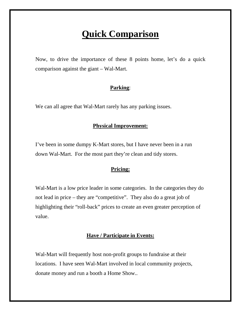# **Quick Comparison**

Now, to drive the importance of these 8 points home, let's do a quick comparison against the giant – Wal-Mart.

### **Parking**:

We can all agree that Wal-Mart rarely has any parking issues.

### **Physical Improvement:**

I've been in some dumpy K-Mart stores, but I have never been in a run down Wal-Mart. For the most part they're clean and tidy stores.

### **Pricing:**

Wal-Mart is a low price leader in some categories. In the categories they do not lead in price – they are "competitive". They also do a great job of highlighting their "roll-back" prices to create an even greater perception of value.

### **Have / Participate in Events:**

Wal-Mart will frequently host non-profit groups to fundraise at their locations. I have seen Wal-Mart involved in local community projects, donate money and run a booth a Home Show..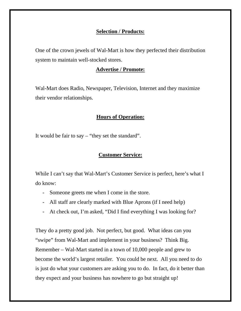### **Selection / Products:**

One of the crown jewels of Wal-Mart is how they perfected their distribution system to maintain well-stocked stores.

### **Advertise / Promote:**

Wal-Mart does Radio, Newspaper, Television, Internet and they maximize their vendor relationships.

### **Hours of Operation:**

It would be fair to say – "they set the standard".

### **Customer Service:**

While I can't say that Wal-Mart's Customer Service is perfect, here's what I do know:

- Someone greets me when I come in the store.
- All staff are clearly marked with Blue Aprons (if I need help)
- At check out, I'm asked, "Did I find everything I was looking for?

They do a pretty good job. Not perfect, but good. What ideas can you "swipe" from Wal-Mart and implement in your business? Think Big. Remember – Wal-Mart started in a town of 10,000 people and grew to become the world's largest retailer. You could be next. All you need to do is just do what your customers are asking you to do. In fact, do it better than they expect and your business has nowhere to go but straight up!